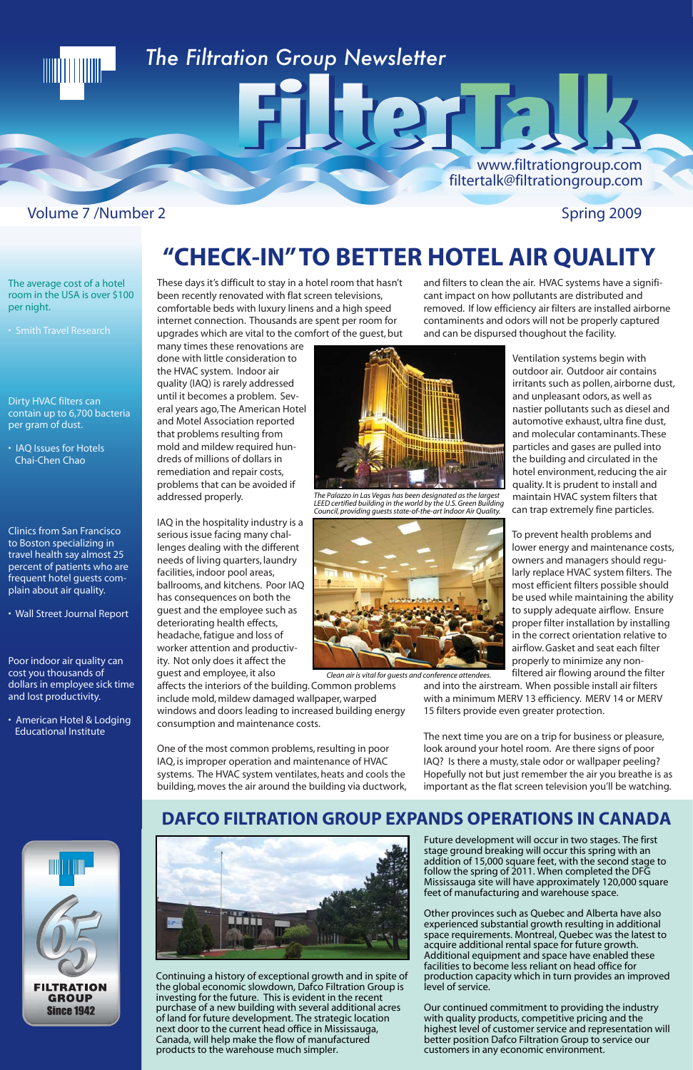### *The Filtration Group Newsletter*

#### Volume 7 /Number 2 Spring 2009

**TITO I I I I I IIII** 

www.filtrationgroup.com

filtertalk@filtrationgroup.com

These days it's difficult to stay in a hotel room that hasn't been recently renovated with flat screen televisions, comfortable beds with luxury linens and a high speed internet connection. Thousands are spent per room for upgrades which are vital to the comfort of the guest, but

many times these renovations are done with little consideration to the HVAC system. Indoor air quality (IAQ) is rarely addressed until it becomes a problem. Several years ago, The American Hotel and Motel Association reported that problems resulting from mold and mildew required hundreds of millions of dollars in remediation and repair costs, problems that can be avoided if addressed properly.

One of the most common problems, resulting in poor systems. The HVAC system ventilates, heats and cools the building, moves the air around the building via ductwork, The next time you are on a trip for business or pleasure, look around your hotel room. Are there signs of poor IAQ? Is there a musty, stale odor or wallpaper peeling? Hopefully not but just remember the air you breathe is as important as the flat screen television you'll be watching

IAQ in the hospitality industry is a serious issue facing many challenges dealing with the different needs of living quarters, laundry facilities, indoor pool areas, ballrooms, and kitchens. Poor IAQ has consequences on both the guest and the employee such as deteriorating health effects, headache, fatigue and loss of worker attention and productivity. Not only does it affect the guest and employee, it also

affects the interiors of the building. Common problems include mold, mildew damaged wallpaper, warped windows and doors leading to increased building energy consumption and maintenance costs.

IAQ, is improper operation and maintenance of HVAC

and filters to clean the air. HVAC systems have a significant impact on how pollutants are distributed and removed. If low efficiency air filters are installed airborne contaminents and odors will not be properly captured and can be dispursed thoughout the facility.

> Ventilation systems begin with outdoor air. Outdoor air contains irritants such as pollen, airborne dust, and unpleasant odors, as well as nastier pollutants such as diesel and automotive exhaust, ultra fine dust, and molecular contaminants. These particles and gases are pulled into the building and circulated in the hotel environment, reducing the air quality. It is prudent to install and maintain HVAC system filters that can trap extremely fine particles.

> To prevent health problems and lower energy and maintenance costs, owners and managers should regularly replace HVAC system filters. The most efficient filters possible should be used while maintaining the ability to supply adequate airflow. Ensure proper filter installation by installing in the correct orientation relative to airflow. Gasket and seat each filter properly to minimize any nonfiltered air flowing around the filter

and into the airstream. When possible install air filters with a minimum MERV 13 efficiency. MERV 14 or MERV 15 filters provide even greater protection.

Continuing a history of exceptional growth and in spite of the global economic slowdown, Dafco Filtration Group is investing for the future. This is evident in the recent purchase of a new building with several additional acres of land for future development. The strategic location next door to the current head office in Mississauga, Canada, will help make the flow of manufactured products to the warehouse much simpler.

Future development will occur in two stages. The first stage ground breaking will occur this spring with an addition of 15,000 square feet, with the second stage to follow the spring of 2011. When completed the DFG Mississauga site will have approximately 120,000 square feet of manufacturing and warehouse space.

Other provinces such as Quebec and Alberta have also experienced substantial growth resulting in additional space requirements. Montreal, Quebec was the latest to acquire additional rental space for future growth. Additional equipment and space have enabled these facilities to become less reliant on head office for production capacity which in turn provides an improved level of service.

Our continued commitment to providing the industry with quality products, competitive pricing and the highest level of customer service and representation will better position Dafco Filtration Group to service our customers in any economic environment.

#### **DAFCO FILTRATION GROUP EXPANDS OPERATIONS IN CANADA**







*The Palazzo in Las Vegas has been designated as the largest LEED certified building in the world by the U.S. Green Building Council, providing guests state-of-the-art Indoor Air Quality.*



*Clean air is vital for guests and conference attendees.*

## **"CHECK-IN" TO BETTER HOTEL AIR QUALITY**

FIJGTA!

#### The average cost of a hotel room in the USA is over \$100 per night.

Dirty HVAC filters can contain up to 6,700 bacteria per gram of dust.

• IAQ Issues for Hotels Chai-Chen Chao

Clinics from San Francisco to Boston specializing in travel health say almost 25 percent of patients who are frequent hotel guests complain about air quality.

• Wall Street Journal Report

Poor indoor air quality can cost you thousands of dollars in employee sick time and lost productivity.

• American Hotel & Lodging Educational Institute